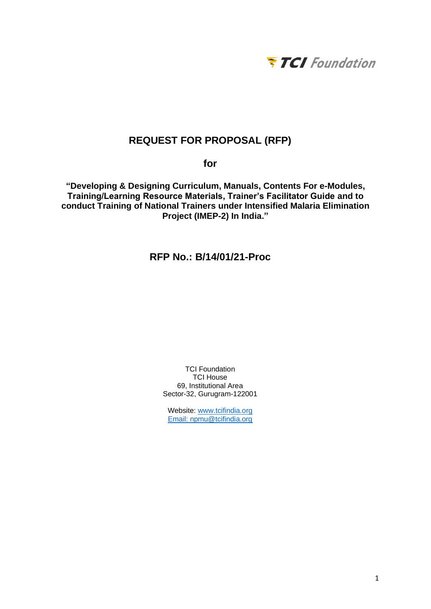

# **REQUEST FOR PROPOSAL (RFP)**

**for**

**"Developing & Designing Curriculum, Manuals, Contents For e-Modules, Training/Learning Resource Materials, Trainer's Facilitator Guide and to conduct Training of National Trainers under Intensified Malaria Elimination Project (IMEP-2) In India."**

**RFP No.: B/14/01/21-Proc**

TCI Foundation TCI House 69, Institutional Area Sector-32, Gurugram-122001

Website: [www.tcifindia.org](http://www.tcifindia.org/) Email: [npmu@tcifindia.org](mailto:npmu@tcifindia.org)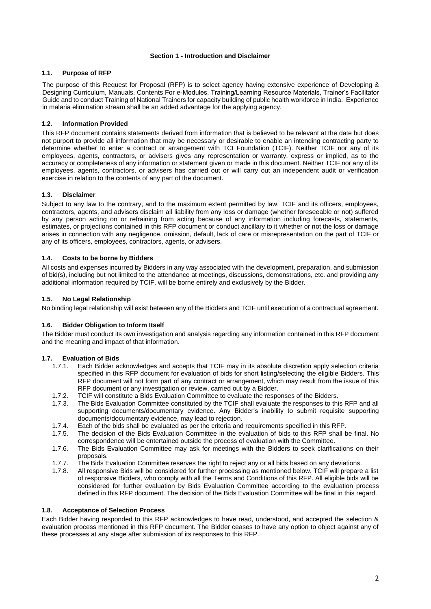### **Section 1 - Introduction and Disclaimer**

### **1.1. Purpose of RFP**

The purpose of this Request for Proposal (RFP) is to select agency having extensive experience of Developing & Designing Curriculum, Manuals, Contents For e-Modules, Training/Learning Resource Materials, Trainer's Facilitator Guide and to conduct Training of National Trainers for capacity building of public health workforce in India. Experience in malaria elimination stream shall be an added advantage for the applying agency.

### **1.2. Information Provided**

This RFP document contains statements derived from information that is believed to be relevant at the date but does not purport to provide all information that may be necessary or desirable to enable an intending contracting party to determine whether to enter a contract or arrangement with TCI Foundation (TCIF). Neither TCIF nor any of its employees, agents, contractors, or advisers gives any representation or warranty, express or implied, as to the accuracy or completeness of any information or statement given or made in this document. Neither TCIF nor any of its employees, agents, contractors, or advisers has carried out or will carry out an independent audit or verification exercise in relation to the contents of any part of the document.

### **1.3. Disclaimer**

Subject to any law to the contrary, and to the maximum extent permitted by law, TCIF and its officers, employees, contractors, agents, and advisers disclaim all liability from any loss or damage (whether foreseeable or not) suffered by any person acting on or refraining from acting because of any information including forecasts, statements, estimates, or projections contained in this RFP document or conduct ancillary to it whether or not the loss or damage arises in connection with any negligence, omission, default, lack of care or misrepresentation on the part of TCIF or any of its officers, employees, contractors, agents, or advisers.

### **1.4. Costs to be borne by Bidders**

All costs and expenses incurred by Bidders in any way associated with the development, preparation, and submission of bid(s), including but not limited to the attendance at meetings, discussions, demonstrations, etc. and providing any additional information required by TCIF, will be borne entirely and exclusively by the Bidder.

### **1.5. No Legal Relationship**

No binding legal relationship will exist between any of the Bidders and TCIF until execution of a contractual agreement.

### **1.6. Bidder Obligation to Inform Itself**

The Bidder must conduct its own investigation and analysis regarding any information contained in this RFP document and the meaning and impact of that information.

### **1.7. Evaluation of Bids**

- 1.7.1. Each Bidder acknowledges and accepts that TCIF may in its absolute discretion apply selection criteria specified in this RFP document for evaluation of bids for short listing/selecting the eligible Bidders. This RFP document will not form part of any contract or arrangement, which may result from the issue of this RFP document or any investigation or review, carried out by a Bidder.
- 1.7.2. TCIF will constitute a Bids Evaluation Committee to evaluate the responses of the Bidders.
- 1.7.3. The Bids Evaluation Committee constituted by the TCIF shall evaluate the responses to this RFP and all supporting documents/documentary evidence. Any Bidder's inability to submit requisite supporting documents/documentary evidence, may lead to rejection.
- 1.7.4. Each of the bids shall be evaluated as per the criteria and requirements specified in this RFP.<br>1.7.5. The decision of the Bids Evaluation Committee in the evaluation of bids to this RFP shall b
- The decision of the Bids Evaluation Committee in the evaluation of bids to this RFP shall be final. No correspondence will be entertained outside the process of evaluation with the Committee.
- 1.7.6. The Bids Evaluation Committee may ask for meetings with the Bidders to seek clarifications on their proposals.
- 1.7.7. The Bids Evaluation Committee reserves the right to reject any or all bids based on any deviations.
- 1.7.8. All responsive Bids will be considered for further processing as mentioned below. TCIF will prepare a list of responsive Bidders, who comply with all the Terms and Conditions of this RFP. All eligible bids will be considered for further evaluation by Bids Evaluation Committee according to the evaluation process defined in this RFP document. The decision of the Bids Evaluation Committee will be final in this regard.

### **1.8. Acceptance of Selection Process**

Each Bidder having responded to this RFP acknowledges to have read, understood, and accepted the selection & evaluation process mentioned in this RFP document. The Bidder ceases to have any option to object against any of these processes at any stage after submission of its responses to this RFP.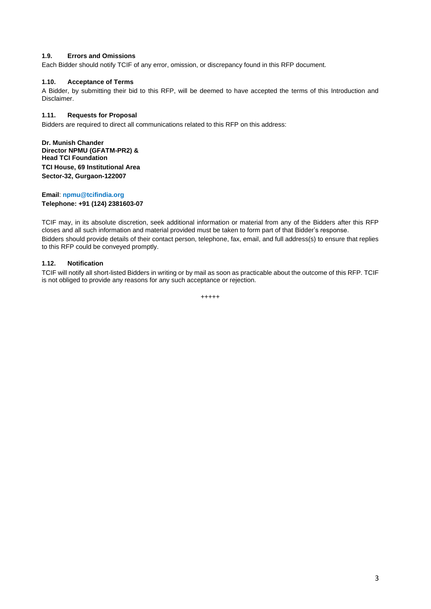### **1.9. Errors and Omissions**

Each Bidder should notify TCIF of any error, omission, or discrepancy found in this RFP document.

### **1.10. Acceptance of Terms**

A Bidder, by submitting their bid to this RFP, will be deemed to have accepted the terms of this Introduction and Disclaimer.

### **1.11. Requests for Proposal**

Bidders are required to direct all communications related to this RFP on this address:

**Dr. Munish Chander Director NPMU (GFATM-PR2) & Head TCI Foundation TCI House, 69 Institutional Area Sector-32, Gurgaon-122007**

**Email**: **npmu@tcifindia.org Telephone: +91 (124) 2381603-07**

TCIF may, in its absolute discretion, seek additional information or material from any of the Bidders after this RFP closes and all such information and material provided must be taken to form part of that Bidder's response. Bidders should provide details of their contact person, telephone, fax, email, and full address(s) to ensure that replies to this RFP could be conveyed promptly.

### **1.12. Notification**

TCIF will notify all short-listed Bidders in writing or by mail as soon as practicable about the outcome of this RFP. TCIF is not obliged to provide any reasons for any such acceptance or rejection.

$$
^{++++}
$$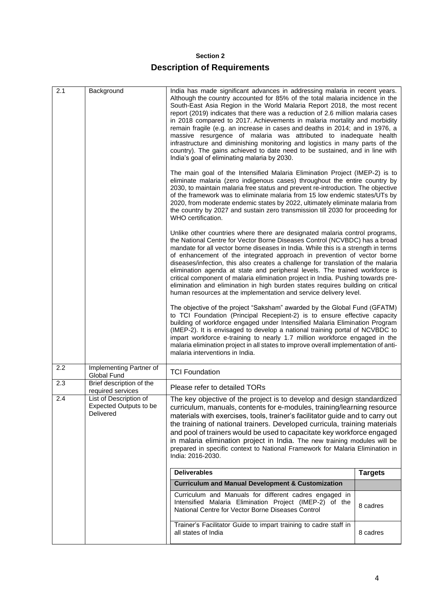# **Section 2**

# **Description of Requirements**

| 2.1 | Background                                                           | India has made significant advances in addressing malaria in recent years.<br>Although the country accounted for 85% of the total malaria incidence in the<br>South-East Asia Region in the World Malaria Report 2018, the most recent<br>report (2019) indicates that there was a reduction of 2.6 million malaria cases<br>in 2018 compared to 2017. Achievements in malaria mortality and morbidity<br>remain fragile (e.g. an increase in cases and deaths in 2014; and in 1976, a<br>massive resurgence of malaria was attributed to inadequate health<br>infrastructure and diminishing monitoring and logistics in many parts of the<br>country). The gains achieved to date need to be sustained, and in line with<br>India's goal of eliminating malaria by 2030. |                |  |  |
|-----|----------------------------------------------------------------------|----------------------------------------------------------------------------------------------------------------------------------------------------------------------------------------------------------------------------------------------------------------------------------------------------------------------------------------------------------------------------------------------------------------------------------------------------------------------------------------------------------------------------------------------------------------------------------------------------------------------------------------------------------------------------------------------------------------------------------------------------------------------------|----------------|--|--|
|     |                                                                      | The main goal of the Intensified Malaria Elimination Project (IMEP-2) is to<br>eliminate malaria (zero indigenous cases) throughout the entire country by<br>2030, to maintain malaria free status and prevent re-introduction. The objective<br>of the framework was to eliminate malaria from 15 low endemic states/UTs by<br>2020, from moderate endemic states by 2022, ultimately eliminate malaria from<br>the country by 2027 and sustain zero transmission till 2030 for proceeding for<br>WHO certification.                                                                                                                                                                                                                                                      |                |  |  |
|     |                                                                      | Unlike other countries where there are designated malaria control programs,<br>the National Centre for Vector Borne Diseases Control (NCVBDC) has a broad<br>mandate for all vector borne diseases in India. While this is a strength in terms<br>of enhancement of the integrated approach in prevention of vector borne<br>diseases/infection, this also creates a challenge for translation of the malaria<br>elimination agenda at state and peripheral levels. The trained workforce is<br>critical component of malaria elimination project in India. Pushing towards pre-<br>elimination and elimination in high burden states requires building on critical<br>human resources at the implementation and service delivery level.                                   |                |  |  |
|     |                                                                      | The objective of the project "Saksham" awarded by the Global Fund (GFATM)<br>to TCI Foundation (Principal Recepient-2) is to ensure effective capacity<br>building of workforce engaged under Intensified Malaria Elimination Program<br>(IMEP-2). It is envisaged to develop a national training portal of NCVBDC to<br>impart workforce e-training to nearly 1.7 million workforce engaged in the<br>malaria elimination project in all states to improve overall implementation of anti-<br>malaria interventions in India.                                                                                                                                                                                                                                             |                |  |  |
| 2.2 | Implementing Partner of<br>Global Fund                               | <b>TCI Foundation</b>                                                                                                                                                                                                                                                                                                                                                                                                                                                                                                                                                                                                                                                                                                                                                      |                |  |  |
| 2.3 | Brief description of the<br>required services                        | Please refer to detailed TORs                                                                                                                                                                                                                                                                                                                                                                                                                                                                                                                                                                                                                                                                                                                                              |                |  |  |
| 2.4 | List of Description of<br><b>Expected Outputs to be</b><br>Delivered | The key objective of the project is to develop and design standardized<br>curriculum, manuals, contents for e-modules, training/learning resource<br>materials with exercises, tools, trainer's facilitator guide and to carry out<br>the training of national trainers. Developed curricula, training materials<br>and pool of trainers would be used to capacitate key workforce engaged<br>in malaria elimination project in India. The new training modules will be<br>prepared in specific context to National Framework for Malaria Elimination in<br>India: 2016-2030.                                                                                                                                                                                              |                |  |  |
|     |                                                                      | <b>Deliverables</b>                                                                                                                                                                                                                                                                                                                                                                                                                                                                                                                                                                                                                                                                                                                                                        | <b>Targets</b> |  |  |
|     |                                                                      | <b>Curriculum and Manual Development &amp; Customization</b>                                                                                                                                                                                                                                                                                                                                                                                                                                                                                                                                                                                                                                                                                                               |                |  |  |
|     |                                                                      | Curriculum and Manuals for different cadres engaged in<br>Intensified Malaria Elimination Project (IMEP-2) of the<br>National Centre for Vector Borne Diseases Control                                                                                                                                                                                                                                                                                                                                                                                                                                                                                                                                                                                                     | 8 cadres       |  |  |
|     |                                                                      | Trainer's Facilitator Guide to impart training to cadre staff in<br>all states of India                                                                                                                                                                                                                                                                                                                                                                                                                                                                                                                                                                                                                                                                                    | 8 cadres       |  |  |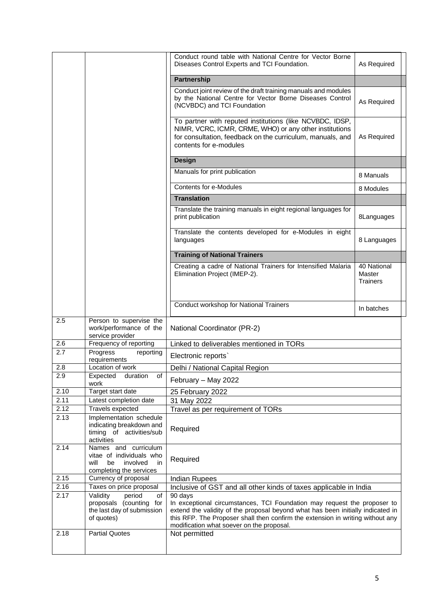|      |                                                                                                             | Conduct round table with National Centre for Vector Borne<br>Diseases Control Experts and TCI Foundation.                                                                                                                                                                                             | As Required               |
|------|-------------------------------------------------------------------------------------------------------------|-------------------------------------------------------------------------------------------------------------------------------------------------------------------------------------------------------------------------------------------------------------------------------------------------------|---------------------------|
|      |                                                                                                             | <b>Partnership</b>                                                                                                                                                                                                                                                                                    |                           |
|      |                                                                                                             | Conduct joint review of the draft training manuals and modules                                                                                                                                                                                                                                        |                           |
|      |                                                                                                             | by the National Centre for Vector Borne Diseases Control<br>(NCVBDC) and TCI Foundation                                                                                                                                                                                                               | As Required               |
|      |                                                                                                             | To partner with reputed institutions (like NCVBDC, IDSP,<br>NIMR, VCRC, ICMR, CRME, WHO) or any other institutions<br>for consultation, feedback on the curriculum, manuals, and<br>contents for e-modules                                                                                            | As Required               |
|      |                                                                                                             | <b>Design</b>                                                                                                                                                                                                                                                                                         |                           |
|      |                                                                                                             | Manuals for print publication                                                                                                                                                                                                                                                                         | 8 Manuals                 |
|      |                                                                                                             | <b>Contents for e-Modules</b>                                                                                                                                                                                                                                                                         |                           |
|      |                                                                                                             | <b>Translation</b>                                                                                                                                                                                                                                                                                    | 8 Modules                 |
|      |                                                                                                             | Translate the training manuals in eight regional languages for                                                                                                                                                                                                                                        |                           |
|      |                                                                                                             | print publication                                                                                                                                                                                                                                                                                     | 8Languages                |
|      |                                                                                                             | Translate the contents developed for e-Modules in eight<br>languages                                                                                                                                                                                                                                  | 8 Languages               |
|      |                                                                                                             | <b>Training of National Trainers</b>                                                                                                                                                                                                                                                                  |                           |
|      |                                                                                                             | Creating a cadre of National Trainers for Intensified Malaria                                                                                                                                                                                                                                         | 40 National               |
|      |                                                                                                             | Elimination Project (IMEP-2).                                                                                                                                                                                                                                                                         | Master<br><b>Trainers</b> |
|      |                                                                                                             |                                                                                                                                                                                                                                                                                                       |                           |
|      |                                                                                                             | Conduct workshop for National Trainers                                                                                                                                                                                                                                                                |                           |
|      |                                                                                                             |                                                                                                                                                                                                                                                                                                       | In batches                |
| 2.5  | Person to supervise the<br>work/performance of the<br>service provider                                      | National Coordinator (PR-2)                                                                                                                                                                                                                                                                           |                           |
| 2.6  | Frequency of reporting                                                                                      | Linked to deliverables mentioned in TORs                                                                                                                                                                                                                                                              |                           |
| 2.7  | Progress<br>reporting<br>requirements                                                                       | Electronic reports'                                                                                                                                                                                                                                                                                   |                           |
| 2.8  | Location of work                                                                                            | Delhi / National Capital Region                                                                                                                                                                                                                                                                       |                           |
| 2.9  | Expected<br>duration<br>or<br>work                                                                          | February - May 2022                                                                                                                                                                                                                                                                                   |                           |
| 2.10 | Target start date                                                                                           | 25 February 2022                                                                                                                                                                                                                                                                                      |                           |
| 2.11 | Latest completion date                                                                                      | 31 May 2022                                                                                                                                                                                                                                                                                           |                           |
| 2.12 | Travels expected                                                                                            | Travel as per requirement of TORs                                                                                                                                                                                                                                                                     |                           |
| 2.13 | Implementation schedule<br>indicating breakdown and<br>timing of activities/sub<br>activities               | Required                                                                                                                                                                                                                                                                                              |                           |
| 2.14 | Names and curriculum<br>vitae of individuals who<br>involved<br>will<br>be<br>in<br>completing the services | Required                                                                                                                                                                                                                                                                                              |                           |
| 2.15 | Currency of proposal                                                                                        | <b>Indian Rupees</b>                                                                                                                                                                                                                                                                                  |                           |
| 2.16 | Taxes on price proposal                                                                                     | Inclusive of GST and all other kinds of taxes applicable in India                                                                                                                                                                                                                                     |                           |
| 2.17 | period<br>Validity<br>of<br>proposals (counting for<br>the last day of submission<br>of quotes)             | 90 days<br>In exceptional circumstances, TCI Foundation may request the proposer to<br>extend the validity of the proposal beyond what has been initially indicated in<br>this RFP. The Proposer shall then confirm the extension in writing without any<br>modification what soever on the proposal. |                           |
| 2.18 | <b>Partial Quotes</b>                                                                                       | Not permitted                                                                                                                                                                                                                                                                                         |                           |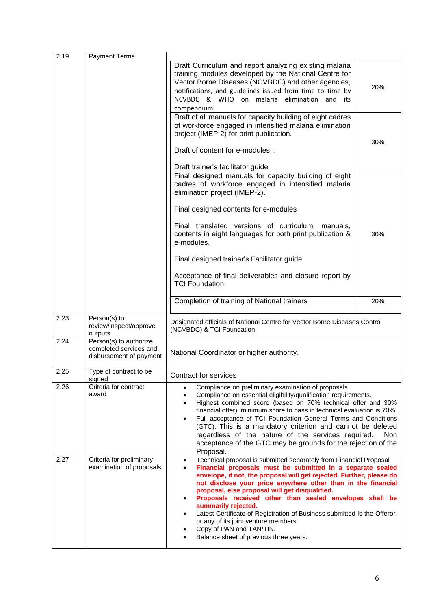| 2.19 | <b>Payment Terms</b>                                                        |                                                                                                                                                                                                                                                                                                                                                                                                                                                                                                                                                                                                                                                            |     |  |
|------|-----------------------------------------------------------------------------|------------------------------------------------------------------------------------------------------------------------------------------------------------------------------------------------------------------------------------------------------------------------------------------------------------------------------------------------------------------------------------------------------------------------------------------------------------------------------------------------------------------------------------------------------------------------------------------------------------------------------------------------------------|-----|--|
|      |                                                                             | Draft Curriculum and report analyzing existing malaria<br>training modules developed by the National Centre for<br>Vector Borne Diseases (NCVBDC) and other agencies,<br>notifications, and guidelines issued from time to time by<br>NCVBDC & WHO on malaria elimination<br>and<br>its<br>compendium.                                                                                                                                                                                                                                                                                                                                                     | 20% |  |
|      |                                                                             | Draft of all manuals for capacity building of eight cadres<br>of workforce engaged in intensified malaria elimination<br>project (IMEP-2) for print publication.<br>Draft of content for e-modules. .<br>Draft trainer's facilitator guide                                                                                                                                                                                                                                                                                                                                                                                                                 | 30% |  |
|      |                                                                             | Final designed manuals for capacity building of eight<br>cadres of workforce engaged in intensified malaria<br>elimination project (IMEP-2).<br>Final designed contents for e-modules                                                                                                                                                                                                                                                                                                                                                                                                                                                                      |     |  |
|      |                                                                             | Final translated versions of curriculum, manuals,<br>contents in eight languages for both print publication &<br>e-modules.                                                                                                                                                                                                                                                                                                                                                                                                                                                                                                                                | 30% |  |
|      |                                                                             | Final designed trainer's Facilitator guide<br>Acceptance of final deliverables and closure report by<br><b>TCI Foundation.</b>                                                                                                                                                                                                                                                                                                                                                                                                                                                                                                                             |     |  |
|      |                                                                             | Completion of training of National trainers                                                                                                                                                                                                                                                                                                                                                                                                                                                                                                                                                                                                                | 20% |  |
| 2.23 | Person(s) to<br>review/inspect/approve<br>outputs                           | Designated officials of National Centre for Vector Borne Diseases Control<br>(NCVBDC) & TCI Foundation.                                                                                                                                                                                                                                                                                                                                                                                                                                                                                                                                                    |     |  |
| 2.24 | Person(s) to authorize<br>completed services and<br>disbursement of payment | National Coordinator or higher authority.                                                                                                                                                                                                                                                                                                                                                                                                                                                                                                                                                                                                                  |     |  |
| 2.25 | Type of contract to be<br>signed                                            | <b>Contract for services</b>                                                                                                                                                                                                                                                                                                                                                                                                                                                                                                                                                                                                                               |     |  |
| 2.26 | Criteria for contract<br>award                                              | Compliance on preliminary examination of proposals.<br>$\bullet$<br>Compliance on essential eligibility/qualification requirements.<br>٠<br>Highest combined score (based on 70% technical offer and 30%<br>$\bullet$<br>financial offer), minimum score to pass in technical evaluation is 70%.<br>Full acceptance of TCI Foundation General Terms and Conditions<br>$\bullet$<br>(GTC). This is a mandatory criterion and cannot be deleted<br>regardless of the nature of the services required.<br>Non<br>acceptance of the GTC may be grounds for the rejection of the<br>Proposal.                                                                   |     |  |
| 2.27 | Criteria for preliminary<br>examination of proposals                        | Technical proposal is submitted separately from Financial Proposal<br>$\bullet$<br>Financial proposals must be submitted in a separate sealed<br>$\bullet$<br>envelope, if not, the proposal will get rejected. Further, please do<br>not disclose your price anywhere other than in the financial<br>proposal, else proposal will get disqualified.<br>Proposals received other than sealed envelopes shall be<br>$\bullet$<br>summarily rejected.<br>Latest Certificate of Registration of Business submitted Is the Offeror,<br>$\bullet$<br>or any of its joint venture members.<br>Copy of PAN and TAN/TIN.<br>Balance sheet of previous three years. |     |  |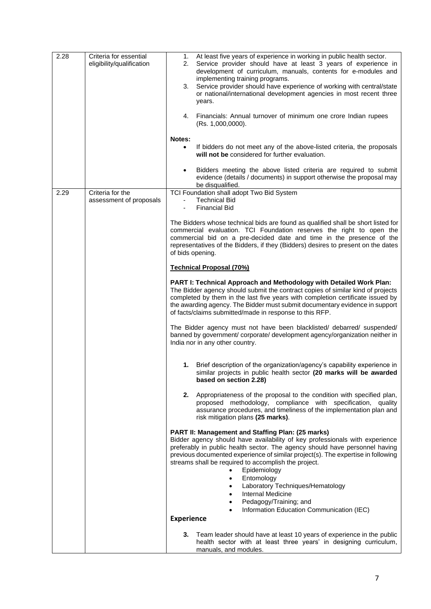| 2.28 | Criteria for essential<br>eligibility/qualification | At least five years of experience in working in public health sector.<br>1.<br>Service provider should have at least 3 years of experience in<br>2.<br>development of curriculum, manuals, contents for e-modules and<br>implementing training programs.<br>Service provider should have experience of working with central/state<br>3.<br>or national/international development agencies in most recent three<br>years.<br>4.<br>Financials: Annual turnover of minimum one crore Indian rupees<br>(Rs. 1,000,0000).<br><b>Notes:</b> |
|------|-----------------------------------------------------|----------------------------------------------------------------------------------------------------------------------------------------------------------------------------------------------------------------------------------------------------------------------------------------------------------------------------------------------------------------------------------------------------------------------------------------------------------------------------------------------------------------------------------------|
|      |                                                     | If bidders do not meet any of the above-listed criteria, the proposals<br>$\bullet$<br>will not be considered for further evaluation.                                                                                                                                                                                                                                                                                                                                                                                                  |
|      |                                                     | Bidders meeting the above listed criteria are required to submit<br>$\bullet$<br>evidence (details / documents) in support otherwise the proposal may<br>be disqualified.                                                                                                                                                                                                                                                                                                                                                              |
| 2.29 | Criteria for the<br>assessment of proposals         | TCI Foundation shall adopt Two Bid System<br><b>Technical Bid</b><br>$\overline{\phantom{a}}$<br><b>Financial Bid</b>                                                                                                                                                                                                                                                                                                                                                                                                                  |
|      |                                                     | The Bidders whose technical bids are found as qualified shall be short listed for<br>commercial evaluation. TCI Foundation reserves the right to open the<br>commercial bid on a pre-decided date and time in the presence of the<br>representatives of the Bidders, if they (Bidders) desires to present on the dates<br>of bids opening.                                                                                                                                                                                             |
|      |                                                     | <b>Technical Proposal (70%)</b>                                                                                                                                                                                                                                                                                                                                                                                                                                                                                                        |
|      |                                                     | PART I: Technical Approach and Methodology with Detailed Work Plan:<br>The Bidder agency should submit the contract copies of similar kind of projects<br>completed by them in the last five years with completion certificate issued by<br>the awarding agency. The Bidder must submit documentary evidence in support<br>of facts/claims submitted/made in response to this RFP.                                                                                                                                                     |
|      |                                                     | The Bidder agency must not have been blacklisted/ debarred/ suspended/<br>banned by government/ corporate/ development agency/organization neither in<br>India nor in any other country.                                                                                                                                                                                                                                                                                                                                               |
|      |                                                     | 1. Brief description of the organization/agency's capability experience in<br>similar projects in public health sector (20 marks will be awarded<br>based on section 2.28)                                                                                                                                                                                                                                                                                                                                                             |
|      |                                                     | 2.<br>Appropriateness of the proposal to the condition with specified plan,<br>proposed methodology, compliance with specification,<br>quality<br>assurance procedures, and timeliness of the implementation plan and<br>risk mitigation plans (25 marks).                                                                                                                                                                                                                                                                             |
|      |                                                     | PART II: Management and Staffing Plan: (25 marks)<br>Bidder agency should have availability of key professionals with experience<br>preferably in public health sector. The agency should have personnel having<br>previous documented experience of similar project(s). The expertise in following<br>streams shall be required to accomplish the project.<br>Epidemiology<br>$\bullet$<br>Entomology<br>$\bullet$<br>Laboratory Techniques/Hematology<br>$\bullet$<br>Internal Medicine                                              |
|      |                                                     | Pedagogy/Training; and                                                                                                                                                                                                                                                                                                                                                                                                                                                                                                                 |
|      |                                                     | Information Education Communication (IEC)<br><b>Experience</b>                                                                                                                                                                                                                                                                                                                                                                                                                                                                         |
|      |                                                     |                                                                                                                                                                                                                                                                                                                                                                                                                                                                                                                                        |
|      |                                                     | 3.<br>Team leader should have at least 10 years of experience in the public<br>health sector with at least three years' in designing curriculum,<br>manuals, and modules.                                                                                                                                                                                                                                                                                                                                                              |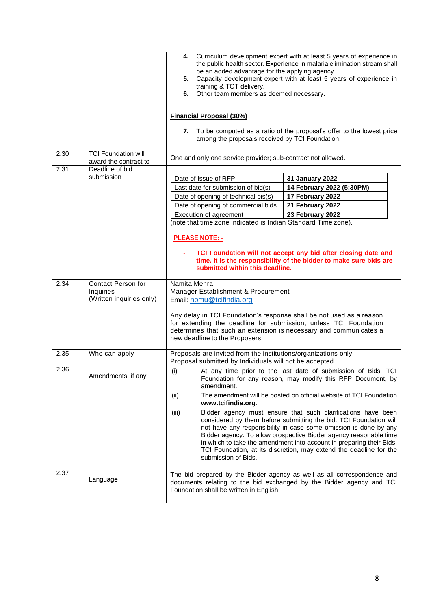|      |                                                                    | Curriculum development expert with at least 5 years of experience in<br>4.<br>the public health sector. Experience in malaria elimination stream shall<br>be an added advantage for the applying agency.<br>Capacity development expert with at least 5 years of experience in<br>5.<br>training & TOT delivery.<br>Other team members as deemed necessary.<br>6.<br><b>Financial Proposal (30%)</b><br>To be computed as a ratio of the proposal's offer to the lowest price<br>7.<br>among the proposals received by TCI Foundation.                                                                                                                                                                            |  |  |
|------|--------------------------------------------------------------------|-------------------------------------------------------------------------------------------------------------------------------------------------------------------------------------------------------------------------------------------------------------------------------------------------------------------------------------------------------------------------------------------------------------------------------------------------------------------------------------------------------------------------------------------------------------------------------------------------------------------------------------------------------------------------------------------------------------------|--|--|
| 2.30 | <b>TCI Foundation will</b><br>award the contract to                | One and only one service provider; sub-contract not allowed.                                                                                                                                                                                                                                                                                                                                                                                                                                                                                                                                                                                                                                                      |  |  |
| 2.31 | Deadline of bid<br>submission                                      | Date of Issue of RFP<br>31 January 2022<br>Last date for submission of bid(s)<br>14 February 2022 (5:30PM)<br>Date of opening of technical bis(s)<br>17 February 2022<br>Date of opening of commercial bids<br>21 February 2022<br>23 February 2022<br>Execution of agreement<br>(note that time zone indicated is Indian Standard Time zone).<br><b>PLEASE NOTE: -</b><br>TCI Foundation will not accept any bid after closing date and<br>time. It is the responsibility of the bidder to make sure bids are<br>submitted within this deadline.                                                                                                                                                                 |  |  |
| 2.34 | <b>Contact Person for</b><br>Inquiries<br>(Written inquiries only) | Namita Mehra<br>Manager Establishment & Procurement<br>Email: npmu@tcifindia.org<br>Any delay in TCI Foundation's response shall be not used as a reason<br>for extending the deadline for submission, unless TCI Foundation<br>determines that such an extension is necessary and communicates a<br>new deadline to the Proposers.                                                                                                                                                                                                                                                                                                                                                                               |  |  |
| 2.35 | Who can apply                                                      | Proposals are invited from the institutions/organizations only.<br>Proposal submitted by Individuals will not be accepted.                                                                                                                                                                                                                                                                                                                                                                                                                                                                                                                                                                                        |  |  |
| 2.36 | Amendments, if any                                                 | (i)<br>At any time prior to the last date of submission of Bids, TCI<br>Foundation for any reason, may modify this RFP Document, by<br>amendment.<br>The amendment will be posted on official website of TCI Foundation<br>(ii)<br>www.tcifindia.org.<br>Bidder agency must ensure that such clarifications have been<br>(iii)<br>considered by them before submitting the bid. TCI Foundation will<br>not have any responsibility in case some omission is done by any<br>Bidder agency. To allow prospective Bidder agency reasonable time<br>in which to take the amendment into account in preparing their Bids,<br>TCI Foundation, at its discretion, may extend the deadline for the<br>submission of Bids. |  |  |
| 2.37 | Language                                                           | The bid prepared by the Bidder agency as well as all correspondence and<br>documents relating to the bid exchanged by the Bidder agency and TCI<br>Foundation shall be written in English.                                                                                                                                                                                                                                                                                                                                                                                                                                                                                                                        |  |  |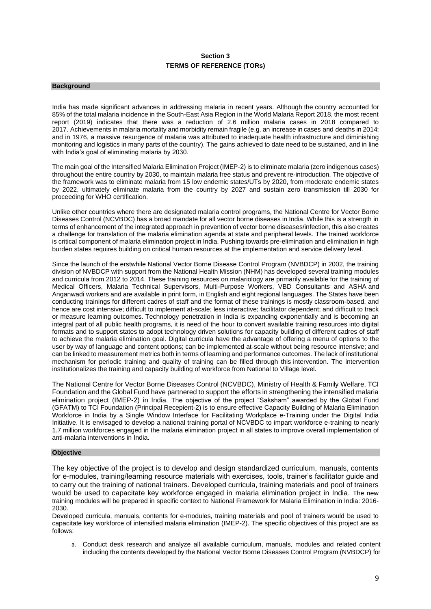## **Section 3 TERMS OF REFERENCE (TORs)**

#### **Background**

India has made significant advances in addressing malaria in recent years. Although the country accounted for 85% of the total malaria incidence in the South-East Asia Region in the World Malaria Report 2018, the most recent report (2019) indicates that there was a reduction of 2.6 million malaria cases in 2018 compared to 2017. Achievements in malaria mortality and morbidity remain fragile (e.g. an increase in cases and deaths in 2014; and in 1976, a massive resurgence of malaria was attributed to inadequate health infrastructure and diminishing monitoring and logistics in many parts of the country). The gains achieved to date need to be sustained, and in line with India's goal of eliminating malaria by 2030.

The main goal of the Intensified Malaria Elimination Project (IMEP-2) is to eliminate malaria (zero indigenous cases) throughout the entire country by 2030, to maintain malaria free status and prevent re-introduction. The objective of the framework was to eliminate malaria from 15 low endemic states/UTs by 2020, from moderate endemic states by 2022, ultimately eliminate malaria from the country by 2027 and sustain zero transmission till 2030 for proceeding for WHO certification.

Unlike other countries where there are designated malaria control programs, the National Centre for Vector Borne Diseases Control (NCVBDC) has a broad mandate for all vector borne diseases in India. While this is a strength in terms of enhancement of the integrated approach in prevention of vector borne diseases/infection, this also creates a challenge for translation of the malaria elimination agenda at state and peripheral levels. The trained workforce is critical component of malaria elimination project in India. Pushing towards pre-elimination and elimination in high burden states requires building on critical human resources at the implementation and service delivery level.

Since the launch of the erstwhile National Vector Borne Disease Control Program (NVBDCP) in 2002, the training division of NVBDCP with support from the National Health Mission (NHM) has developed several training modules and curricula from 2012 to 2014. These training resources on malariology are primarily available for the training of Medical Officers, Malaria Technical Supervisors, Multi-Purpose Workers, VBD Consultants and ASHA and Anganwadi workers and are available in print form, in English and eight regional languages. The States have been conducting trainings for different cadres of staff and the format of these trainings is mostly classroom-based, and hence are cost intensive; difficult to implement at-scale; less interactive; facilitator dependent; and difficult to track or measure learning outcomes. Technology penetration in India is expanding exponentially and is becoming an integral part of all public health programs, it is need of the hour to convert available training resources into digital formats and to support states to adopt technology driven solutions for capacity building of different cadres of staff to achieve the malaria elimination goal. Digital curricula have the advantage of offering a menu of options to the user by way of language and content options; can be implemented at-scale without being resource intensive; and can be linked to measurement metrics both in terms of learning and performance outcomes. The lack of institutional mechanism for periodic training and quality of training can be filled through this intervention. The intervention institutionalizes the training and capacity building of workforce from National to Village level.

The National Centre for Vector Borne Diseases Control (NCVBDC), Ministry of Health & Family Welfare, TCI Foundation and the Global Fund have partnered to support the efforts in strengthening the intensified malaria elimination project (IMEP-2) in India. The objective of the project "Saksham" awarded by the Global Fund (GFATM) to TCI Foundation (Principal Recepient-2) is to ensure effective Capacity Building of Malaria Elimination Workforce in India by a Single Window Interface for Facilitating Workplace e-Training under the Digital India Initiative. It is envisaged to develop a national training portal of NCVBDC to impart workforce e-training to nearly 1.7 million workforces engaged in the malaria elimination project in all states to improve overall implementation of anti-malaria interventions in India.

### **Objective**

The key objective of the project is to develop and design standardized curriculum, manuals, contents for e-modules, training/learning resource materials with exercises, tools, trainer's facilitator guide and to carry out the training of national trainers. Developed curricula, training materials and pool of trainers would be used to capacitate key workforce engaged in malaria elimination project in India. The new training modules will be prepared in specific context to National Framework for Malaria Elimination in India: 2016- 2030.

Developed curricula, manuals, contents for e-modules, training materials and pool of trainers would be used to capacitate key workforce of intensified malaria elimination (IMEP-2). The specific objectives of this project are as follows:

a. Conduct desk research and analyze all available curriculum, manuals, modules and related content including the contents developed by the National Vector Borne Diseases Control Program (NVBDCP) for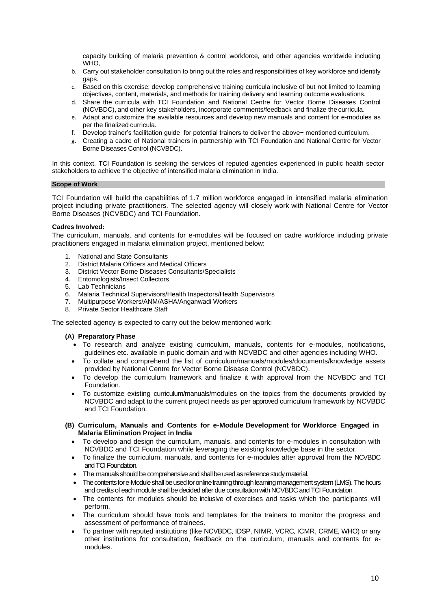capacity building of malaria prevention & control workforce, and other agencies worldwide including WHO,

- b. Carry out stakeholder consultation to bring out the roles and responsibilities of key workforce and identify gaps.
- c. Based on this exercise; develop comprehensive training curricula inclusive of but not limited to learning objectives, content, materials, and methods for training delivery and learning outcome evaluations.
- d. Share the curricula with TCI Foundation and National Centre for Vector Borne Diseases Control (NCVBDC), and other key stakeholders, incorporate comments/feedback and finalize the curricula.
- e. Adapt and customize the available resources and develop new manuals and content for e-modules as per the finalized curricula.
- f. Develop trainer's facilitation guide for potential trainers to deliver the above− mentioned curriculum.
- g. Creating a cadre of National trainers in partnership with TCI Foundation and National Centre for Vector Borne Diseases Control (NCVBDC).

In this context, TCI Foundation is seeking the services of reputed agencies experienced in public health sector stakeholders to achieve the objective of intensified malaria elimination in India.

### **Scope of Work**

TCI Foundation will build the capabilities of 1.7 million workforce engaged in intensified malaria elimination project including private practitioners. The selected agency will closely work with National Centre for Vector Borne Diseases (NCVBDC) and TCI Foundation.

### **Cadres Involved:**

The curriculum, manuals, and contents for e-modules will be focused on cadre workforce including private practitioners engaged in malaria elimination project, mentioned below:

- 1. National and State Consultants
- 2. District Malaria Officers and Medical Officers
- 3. District Vector Borne Diseases Consultants/Specialists
- 4. Entomologists/Insect Collectors
- 5. Lab Technicians
- 6. Malaria Technical Supervisors/Health Inspectors/Health Supervisors
- 7. Multipurpose Workers/ANM/ASHA/Anganwadi Workers
- 8. Private Sector Healthcare Staff

The selected agency is expected to carry out the below mentioned work:

### **(A) Preparatory Phase**

- To research and analyze existing curriculum, manuals, contents for e-modules, notifications, guidelines etc. available in public domain and with NCVBDC and other agencies including WHO.
- To collate and comprehend the list of curriculum/manuals/modules/documents/knowledge assets provided by National Centre for Vector Borne Disease Control (NCVBDC).
- To develop the curriculum framework and finalize it with approval from the NCVBDC and TCI Foundation.
- To customize existing curriculum/manuals/modules on the topics from the documents provided by NCVBDC and adapt to the current project needs as per approved curriculum framework by NCVBDC and TCI Foundation.
- **(B) Curriculum, Manuals and Contents for e-Module Development for Workforce Engaged in Malaria Elimination Project in India**
	- To develop and design the curriculum, manuals, and contents for e-modules in consultation with NCVBDC and TCI Foundation while leveraging the existing knowledge base in the sector.
	- To finalize the curriculum, manuals, and contents for e-modules after approval from the NCVBDC and TCI Foundation.
	- The manuals should be comprehensive and shall be used as reference study material.
	- The contents for e-Module shall be used for online training through learning management system (LMS). The hours and credits of each module shall be decided after due consultation with NCVBDC and TCI Foundation. .
	- The contents for modules should be inclusive of exercises and tasks which the participants will perform.
	- The curriculum should have tools and templates for the trainers to monitor the progress and assessment of performance of trainees.
	- To partner with reputed institutions (like NCVBDC, IDSP, NIMR, VCRC, ICMR, CRME, WHO) or any other institutions for consultation, feedback on the curriculum, manuals and contents for emodules.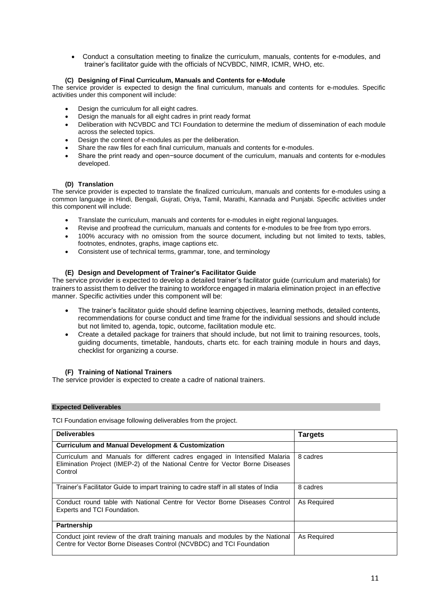• Conduct a consultation meeting to finalize the curriculum, manuals, contents for e-modules, and trainer's facilitator guide with the officials of NCVBDC, NIMR, ICMR, WHO, etc.

### **(C) Designing of Final Curriculum, Manuals and Contents for e-Module**

The service provider is expected to design the final curriculum, manuals and contents for e-modules. Specific activities under this component will include:

- Design the curriculum for all eight cadres.
- Design the manuals for all eight cadres in print ready format
- Deliberation with NCVBDC and TCI Foundation to determine the medium of dissemination of each module across the selected topics.
- Design the content of e-modules as per the deliberation.
- Share the raw files for each final curriculum, manuals and contents for e-modules.
- Share the print ready and open−source document of the curriculum, manuals and contents for e-modules developed.

### **(D) Translation**

The service provider is expected to translate the finalized curriculum, manuals and contents for e-modules using a common language in Hindi, Bengali, Gujrati, Oriya, Tamil, Marathi, Kannada and Punjabi. Specific activities under this component will include:

- Translate the curriculum, manuals and contents for e-modules in eight regional languages.
- Revise and proofread the curriculum, manuals and contents for e-modules to be free from typo errors.
- 100% accuracy with no omission from the source document, including but not limited to texts, tables, footnotes, endnotes, graphs, image captions etc.
- Consistent use of technical terms, grammar, tone, and terminology

### **(E) Design and Development of Trainer's Facilitator Guide**

The service provider is expected to develop a detailed trainer's facilitator guide (curriculum and materials) for trainers to assist them to deliver the training to workforce engaged in malaria elimination project in an effective manner. Specific activities under this component will be:

- The trainer's facilitator guide should define learning objectives, learning methods, detailed contents, recommendations for course conduct and time frame for the individual sessions and should include but not limited to, agenda, topic, outcome, facilitation module etc.
- Create a detailed package for trainers that should include, but not limit to training resources, tools, guiding documents, timetable, handouts, charts etc. for each training module in hours and days, checklist for organizing a course.

### **(F) Training of National Trainers**

The service provider is expected to create a cadre of national trainers.

### **Expected Deliverables**

TCI Foundation envisage following deliverables from the project.

| <b>Deliverables</b>                                                                                                                                                    | <b>Targets</b> |
|------------------------------------------------------------------------------------------------------------------------------------------------------------------------|----------------|
| <b>Curriculum and Manual Development &amp; Customization</b>                                                                                                           |                |
| Curriculum and Manuals for different cadres engaged in Intensified Malaria<br>Elimination Project (IMEP-2) of the National Centre for Vector Borne Diseases<br>Control | 8 cadres       |
| Trainer's Facilitator Guide to impart training to cadre staff in all states of India                                                                                   | 8 cadres       |
| Conduct round table with National Centre for Vector Borne Diseases Control<br>Experts and TCI Foundation.                                                              | As Required    |
| Partnership                                                                                                                                                            |                |
| Conduct joint review of the draft training manuals and modules by the National<br>Centre for Vector Borne Diseases Control (NCVBDC) and TCI Foundation                 | As Required    |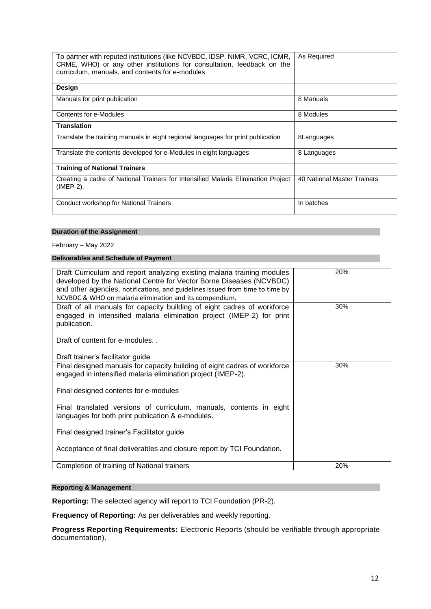| To partner with reputed institutions (like NCVBDC, IDSP, NIMR, VCRC, ICMR,<br>CRME, WHO) or any other institutions for consultation, feedback on the<br>curriculum, manuals, and contents for e-modules | As Required                 |
|---------------------------------------------------------------------------------------------------------------------------------------------------------------------------------------------------------|-----------------------------|
| <b>Design</b>                                                                                                                                                                                           |                             |
| Manuals for print publication                                                                                                                                                                           | 8 Manuals                   |
| Contents for e-Modules                                                                                                                                                                                  | 8 Modules                   |
| <b>Translation</b>                                                                                                                                                                                      |                             |
| Translate the training manuals in eight regional languages for print publication                                                                                                                        | 8Languages                  |
| Translate the contents developed for e-Modules in eight languages                                                                                                                                       | 8 Languages                 |
| <b>Training of National Trainers</b>                                                                                                                                                                    |                             |
| Creating a cadre of National Trainers for Intensified Malaria Elimination Project<br>(IMEP-2).                                                                                                          | 40 National Master Trainers |
| <b>Conduct workshop for National Trainers</b>                                                                                                                                                           | In batches                  |

## **Duration of the Assignment**

February – May 2022

## **Deliverables and Schedule of Payment**

| Draft Curriculum and report analyzing existing malaria training modules<br>developed by the National Centre for Vector Borne Diseases (NCVBDC)<br>and other agencies, notifications, and guidelines issued from time to time by<br>NCVBDC & WHO on malaria elimination and its compendium. | 20% |
|--------------------------------------------------------------------------------------------------------------------------------------------------------------------------------------------------------------------------------------------------------------------------------------------|-----|
| Draft of all manuals for capacity building of eight cadres of workforce<br>engaged in intensified malaria elimination project (IMEP-2) for print<br>publication.                                                                                                                           | 30% |
| Draft of content for e-modules                                                                                                                                                                                                                                                             |     |
| Draft trainer's facilitator guide                                                                                                                                                                                                                                                          |     |
| Final designed manuals for capacity building of eight cadres of workforce<br>engaged in intensified malaria elimination project (IMEP-2).                                                                                                                                                  | 30% |
| Final designed contents for e-modules                                                                                                                                                                                                                                                      |     |
| Final translated versions of curriculum, manuals, contents in eight<br>languages for both print publication & e-modules.                                                                                                                                                                   |     |
| Final designed trainer's Facilitator guide                                                                                                                                                                                                                                                 |     |
| Acceptance of final deliverables and closure report by TCI Foundation.                                                                                                                                                                                                                     |     |
| Completion of training of National trainers                                                                                                                                                                                                                                                | 20% |

# **Reporting & Management**

**Reporting:** The selected agency will report to TCI Foundation (PR-2).

**Frequency of Reporting:** As per deliverables and weekly reporting.

**Progress Reporting Requirements:** Electronic Reports (should be verifiable through appropriate documentation).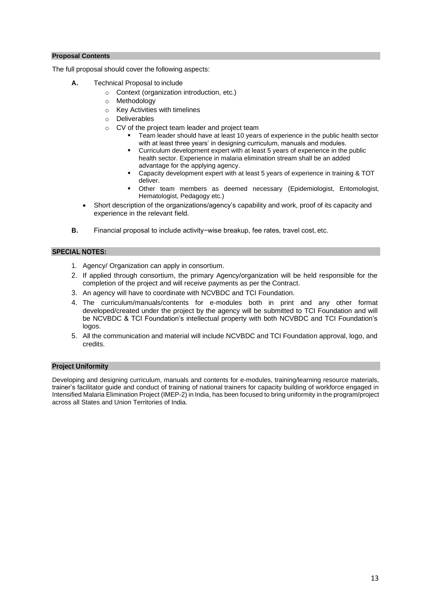### **Proposal Contents**

The full proposal should cover the following aspects:

- **A.** Technical Proposal to include
	- o Context (organization introduction, etc.)
	- o Methodology
	- o Key Activities with timelines
	- o Deliverables
	- o CV of the project team leader and project team
		- Team leader should have at least 10 years of experience in the public health sector with at least three years' in designing curriculum, manuals and modules.
		- Curriculum development expert with at least 5 years of experience in the public health sector. Experience in malaria elimination stream shall be an added advantage for the applying agency.
		- Capacity development expert with at least 5 years of experience in training & TOT deliver.
		- Other team members as deemed necessary (Epidemiologist, Entomologist, Hematologist, Pedagogy etc.)
	- Short description of the organizations/agency's capability and work, proof of its capacity and experience in the relevant field.
- **B.** Financial proposal to include activity−wise breakup, fee rates, travel cost, etc.

### **SPECIAL NOTES:**

- 1. Agency/ Organization can apply in consortium.
- 2. If applied through consortium, the primary Agency/organization will be held responsible for the completion of the project and will receive payments as per the Contract.
- 3. An agency will have to coordinate with NCVBDC and TCI Foundation.
- 4. The curriculum/manuals/contents for e-modules both in print and any other format developed/created under the project by the agency will be submitted to TCI Foundation and will be NCVBDC & TCI Foundation's intellectual property with both NCVBDC and TCI Foundation's logos.
- 5. All the communication and material will include NCVBDC and TCI Foundation approval, logo, and credits.

### **Project Uniformity**

Developing and designing curriculum, manuals and contents for e-modules, training/learning resource materials, trainer's facilitator guide and conduct of training of national trainers for capacity building of workforce engaged in Intensified Malaria Elimination Project (IMEP-2) in India, has been focused to bring uniformity in the program/project across all States and Union Territories of India.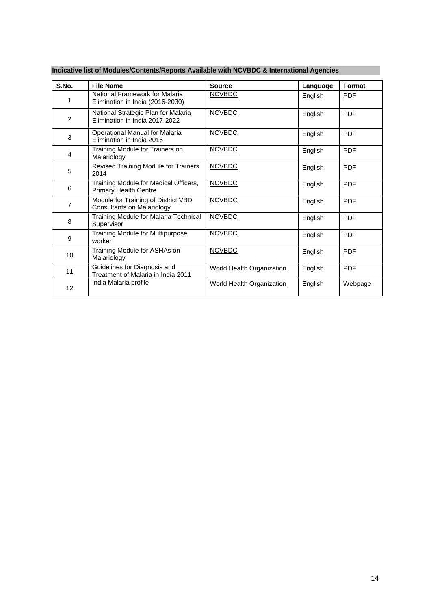| S.No.           | <b>File Name</b>                                                         | <b>Source</b>                    | Language | Format     |
|-----------------|--------------------------------------------------------------------------|----------------------------------|----------|------------|
| 1               | National Framework for Malaria<br>Elimination in India (2016-2030)       | <b>NCVBDC</b>                    | English  | <b>PDF</b> |
| $\overline{2}$  | National Strategic Plan for Malaria<br>Elimination in India 2017-2022    | <b>NCVBDC</b>                    | English  | <b>PDF</b> |
| 3               | Operational Manual for Malaria<br>Elimination in India 2016              | <b>NCVBDC</b>                    | English  | <b>PDF</b> |
| 4               | Training Module for Trainers on<br>Malariology                           | <b>NCVBDC</b>                    | English  | <b>PDF</b> |
| 5               | Revised Training Module for Trainers<br>2014                             | <b>NCVBDC</b>                    | English  | <b>PDF</b> |
| 6               | Training Module for Medical Officers,<br><b>Primary Health Centre</b>    | <b>NCVBDC</b>                    | English  | <b>PDF</b> |
| 7               | Module for Training of District VBD<br><b>Consultants on Malariology</b> | <b>NCVBDC</b>                    | English  | <b>PDF</b> |
| 8               | Training Module for Malaria Technical<br>Supervisor                      | <b>NCVBDC</b>                    | English  | <b>PDF</b> |
| 9               | <b>Training Module for Multipurpose</b><br>worker                        | <b>NCVBDC</b>                    | English  | <b>PDF</b> |
| 10              | Training Module for ASHAs on<br>Malariology                              | <b>NCVBDC</b>                    | English  | <b>PDF</b> |
| 11              | Guidelines for Diagnosis and<br>Treatment of Malaria in India 2011       | <b>World Health Organization</b> | English  | <b>PDF</b> |
| 12 <sup>2</sup> | India Malaria profile                                                    | <b>World Health Organization</b> | English  | Webpage    |

# **Indicative list of Modules/Contents/Reports Available with NCVBDC & International Agencies**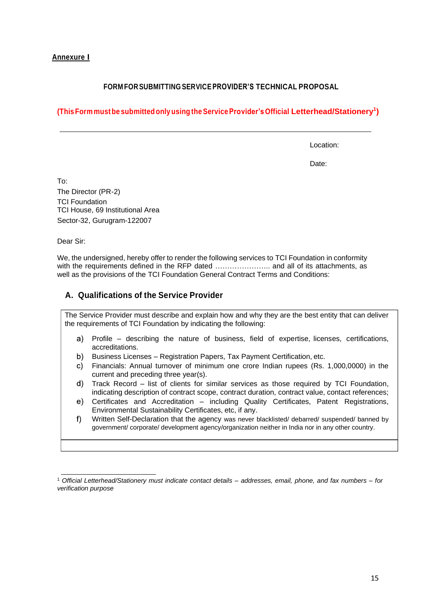# **Annexure I**

# **FORM FOR SUBMITTING SERVICEPROVIDER'S TECHNICAL PROPOSAL**

# **(ThisForm mustbe submittedonly using theServiceProvider'sOfficial Letterhead/Stationery<sup>1</sup> )**

Location:

Date:

To:

The Director (PR-2) TCI Foundation TCI House, 69 Institutional Area Sector-32, Gurugram-122007

Dear Sir:

We, the undersigned, hereby offer to render the following services to TCI Foundation in conformity with the requirements defined in the RFP dated ................................ and all of its attachments, as well as the provisions of the TCI Foundation General Contract Terms and Conditions:

# **A. Qualifications of the Service Provider**

The Service Provider must describe and explain how and why they are the best entity that can deliver the requirements of TCI Foundation by indicating the following:

- Profile describing the nature of business, field of expertise, licenses, certifications, a) accreditations.
- b) Business Licenses – Registration Papers, Tax Payment Certification, etc.
- Financials: Annual turnover of minimum one crore Indian rupees (Rs. 1,000,0000) in the C) current and preceding three year(s).
- $\mathsf{d}$ Track Record – list of clients for similar services as those required by TCI Foundation, indicating description of contract scope, contract duration, contract value, contact references;
- Certificates and Accreditation including Quality Certificates, Patent Registrations,  $e$ ) Environmental Sustainability Certificates, etc, if any.
- Written Self-Declaration that the agency was never blacklisted/ debarred/ suspended/ banned by  $\mathsf{f}$ government/ corporate/ development agency/organization neither in India nor in any other country.

<sup>1</sup> *Official Letterhead/Stationery must indicate contact details – addresses, email, phone, and fax numbers – for verification purpose*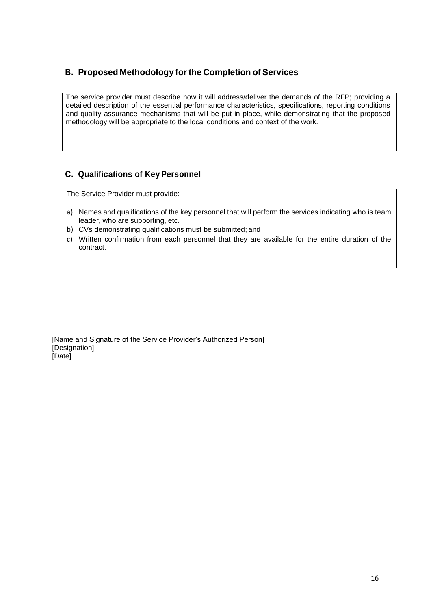# **B. Proposed Methodology for the Completion of Services**

The service provider must describe how it will address/deliver the demands of the RFP; providing a detailed description of the essential performance characteristics, specifications, reporting conditions and quality assurance mechanisms that will be put in place, while demonstrating that the proposed methodology will be appropriate to the local conditions and context of the work.

# **C. Qualifications of Key Personnel**

The Service Provider must provide:

- a) Names and qualifications of the key personnel that will perform the services indicating who is team leader, who are supporting, etc.
- b) CVs demonstrating qualifications must be submitted; and
- c) Written confirmation from each personnel that they are available for the entire duration of the contract.

[Name and Signature of the Service Provider's Authorized Person] [Designation] [Date]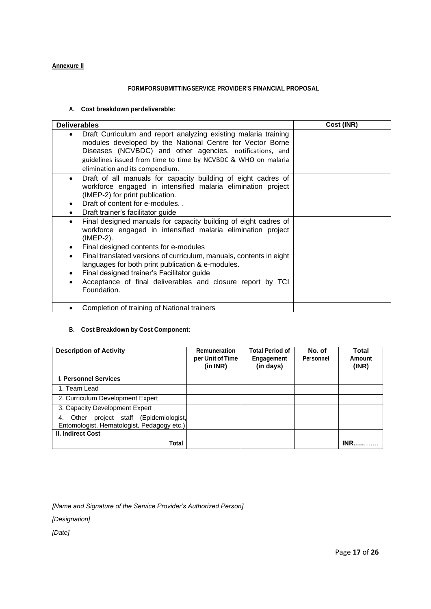## **Annexure II**

### **FORMFORSUBMITTINGSERVICE PROVIDER'S FINANCIAL PROPOSAL**

## **A. Cost breakdown perdeliverable:**

| <b>Deliverables</b>                                                                                                                                                                                                                                                                                                                                                                                                                                       | Cost (INR) |
|-----------------------------------------------------------------------------------------------------------------------------------------------------------------------------------------------------------------------------------------------------------------------------------------------------------------------------------------------------------------------------------------------------------------------------------------------------------|------------|
| Draft Curriculum and report analyzing existing malaria training<br>٠<br>modules developed by the National Centre for Vector Borne<br>Diseases (NCVBDC) and other agencies, notifications, and<br>guidelines issued from time to time by NCVBDC & WHO on malaria<br>elimination and its compendium.                                                                                                                                                        |            |
| Draft of all manuals for capacity building of eight cadres of<br>$\bullet$<br>workforce engaged in intensified malaria elimination project<br>(IMEP-2) for print publication.<br>Draft of content for e-modules<br>Draft trainer's facilitator guide                                                                                                                                                                                                      |            |
| Final designed manuals for capacity building of eight cadres of<br>$\bullet$<br>workforce engaged in intensified malaria elimination project<br>(IMEP-2).<br>Final designed contents for e-modules<br>Final translated versions of curriculum, manuals, contents in eight<br>languages for both print publication & e-modules.<br>Final designed trainer's Facilitator guide<br>Acceptance of final deliverables and closure report by TCI<br>Foundation. |            |
| Completion of training of National trainers                                                                                                                                                                                                                                                                                                                                                                                                               |            |

## **B. Cost Breakdown by Cost Component:**

| <b>Description of Activity</b>                                                                                    | <b>Remuneration</b><br>per Unit of Time<br>(in INR) | <b>Total Period of</b><br>Engagement<br>(in days) | No. of<br><b>Personnel</b> | Total<br>Amount<br>(INR) |
|-------------------------------------------------------------------------------------------------------------------|-----------------------------------------------------|---------------------------------------------------|----------------------------|--------------------------|
| <b>I. Personnel Services</b>                                                                                      |                                                     |                                                   |                            |                          |
| 1. Team Lead                                                                                                      |                                                     |                                                   |                            |                          |
| 2. Curriculum Development Expert                                                                                  |                                                     |                                                   |                            |                          |
| 3. Capacity Development Expert                                                                                    |                                                     |                                                   |                            |                          |
| 4. Other project staff (Epidemiologist,<br>Entomologist, Hematologist, Pedagogy etc.)<br><b>II. Indirect Cost</b> |                                                     |                                                   |                            |                          |
| Total                                                                                                             |                                                     |                                                   |                            | INR.                     |

*[Name and Signature of the Service Provider's Authorized Person]* 

*[Designation]*

*[Date]*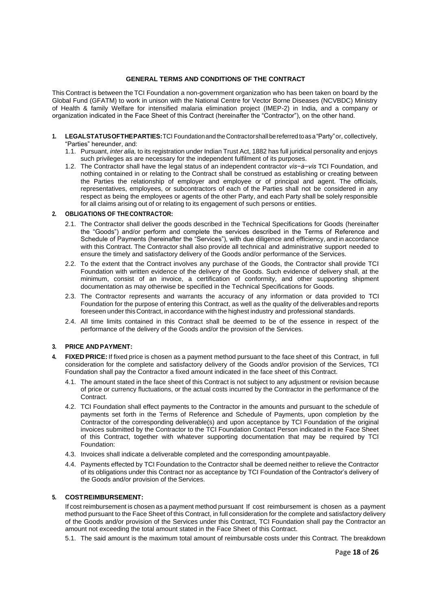### **GENERAL TERMS AND CONDITIONS OF THE CONTRACT**

This Contract is between the TCI Foundation a non-government organization who has been taken on board by the Global Fund (GFATM) to work in unison with the National Centre for Vector Borne Diseases (NCVBDC) Ministry of Health & family Welfare for intensified malaria elimination project (IMEP-2) in India, and a company or organization indicated in the Face Sheet of this Contract (hereinafter the "Contractor"), on the other hand.

- **1. LEGALSTATUSOFTHEPARTIES:**TCI Foundationand the Contractorshallbereferred toasa"Party"or, collectively, "Parties" hereunder, and:
	- 1.1. Pursuant, *inter alia,* to its registration under Indian Trust Act, 1882 has full juridical personality and enjoys such privileges as are necessary for the independent fulfilment of its purposes.
	- 1.2. The Contractor shall have the legal status of an independent contractor *vis−à−vis* TCI Foundation, and nothing contained in or relating to the Contract shall be construed as establishing or creating between the Parties the relationship of employer and employee or of principal and agent. The officials, representatives, employees, or subcontractors of each of the Parties shall not be considered in any respect as being the employees or agents of the other Party, and each Party shall be solely responsible for all claims arising out of or relating to its engagement of such persons or entities.

### **2. OBLIGATIONS OF THECONTRACTOR:**

- 2.1. The Contractor shall deliver the goods described in the Technical Specifications for Goods (hereinafter the "Goods") and/or perform and complete the services described in the Terms of Reference and Schedule of Payments (hereinafter the "Services"), with due diligence and efficiency, and in accordance with this Contract. The Contractor shall also provide all technical and administrative support needed to ensure the timely and satisfactory delivery of the Goods and/or performance of the Services.
- 2.2. To the extent that the Contract involves any purchase of the Goods, the Contractor shall provide TCI Foundation with written evidence of the delivery of the Goods. Such evidence of delivery shall, at the minimum, consist of an invoice, a certification of conformity, and other supporting shipment documentation as may otherwise be specified in the Technical Specifications for Goods.
- 2.3. The Contractor represents and warrants the accuracy of any information or data provided to TCI Foundation for the purpose of entering this Contract, as well as the quality of the deliverables and reports foreseen under this Contract, in accordance with the highest industry and professional standards.
- 2.4. All time limits contained in this Contract shall be deemed to be of the essence in respect of the performance of the delivery of the Goods and/or the provision of the Services.

### **3. PRICE ANDPAYMENT:**

- **4. FIXED PRICE:** If fixed price is chosen as a payment method pursuant to the face sheet of this Contract, in full consideration for the complete and satisfactory delivery of the Goods and/or provision of the Services, TCI Foundation shall pay the Contractor a fixed amount indicated in the face sheet of this Contract.
	- 4.1. The amount stated in the face sheet of this Contract is not subject to any adjustment or revision because of price or currency fluctuations, or the actual costs incurred by the Contractor in the performance of the Contract.
	- 4.2. TCI Foundation shall effect payments to the Contractor in the amounts and pursuant to the schedule of payments set forth in the Terms of Reference and Schedule of Payments, upon completion by the Contractor of the corresponding deliverable(s) and upon acceptance by TCI Foundation of the original invoices submitted by the Contractor to the TCI Foundation Contact Person indicated in the Face Sheet of this Contract, together with whatever supporting documentation that may be required by TCI Foundation:
	- 4.3. Invoices shall indicate a deliverable completed and the corresponding amountpayable.
	- 4.4. Payments effected by TCI Foundation to the Contractor shall be deemed neither to relieve the Contractor of its obligations under this Contract nor as acceptance by TCI Foundation of the Contractor's delivery of the Goods and/or provision of the Services.

### **5. COSTREIMBURSEMENT:**

If cost reimbursement is chosen as a payment method pursuant If cost reimbursement is chosen as a payment method pursuant to the Face Sheet of this Contract, in full consideration for the complete and satisfactory delivery of the Goods and/or provision of the Services under this Contract, TCI Foundation shall pay the Contractor an amount not exceeding the total amount stated in the Face Sheet of this Contract.

5.1. The said amount is the maximum total amount of reimbursable costs under this Contract. The breakdown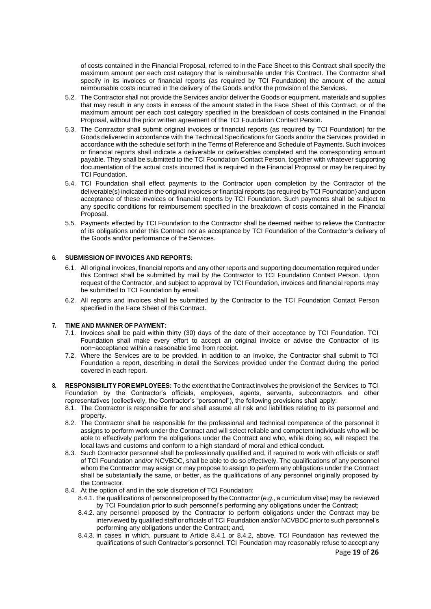of costs contained in the Financial Proposal, referred to in the Face Sheet to this Contract shall specify the maximum amount per each cost category that is reimbursable under this Contract. The Contractor shall specify in its invoices or financial reports (as required by TCI Foundation) the amount of the actual reimbursable costs incurred in the delivery of the Goods and/or the provision of the Services.

- 5.2. The Contractor shall not provide the Services and/or deliver the Goods or equipment, materials and supplies that may result in any costs in excess of the amount stated in the Face Sheet of this Contract, or of the maximum amount per each cost category specified in the breakdown of costs contained in the Financial Proposal, without the prior written agreement of the TCI Foundation Contact Person.
- 5.3. The Contractor shall submit original invoices or financial reports (as required by TCI Foundation) for the Goods delivered in accordance with the Technical Specifications for Goods and/or the Services provided in accordance with the schedule set forth in the Terms of Reference and Schedule of Payments. Such invoices or financial reports shall indicate a deliverable or deliverables completed and the corresponding amount payable. They shall be submitted to the TCI Foundation Contact Person, together with whatever supporting documentation of the actual costs incurred that is required in the Financial Proposal or may be required by TCI Foundation.
- 5.4. TCI Foundation shall effect payments to the Contractor upon completion by the Contractor of the deliverable(s) indicated in the original invoices or financial reports (as required by TCI Foundation) and upon acceptance of these invoices or financial reports by TCI Foundation. Such payments shall be subject to any specific conditions for reimbursement specified in the breakdown of costs contained in the Financial Proposal.
- 5.5. Payments effected by TCI Foundation to the Contractor shall be deemed neither to relieve the Contractor of its obligations under this Contract nor as acceptance by TCI Foundation of the Contractor's delivery of the Goods and/or performance of the Services.

### **6. SUBMISSION OF INVOICES AND REPORTS:**

- 6.1. All original invoices, financial reports and any other reports and supporting documentation required under this Contract shall be submitted by mail by the Contractor to TCI Foundation Contact Person. Upon request of the Contractor, and subject to approval by TCI Foundation, invoices and financial reports may be submitted to TCI Foundation by email.
- 6.2. All reports and invoices shall be submitted by the Contractor to the TCI Foundation Contact Person specified in the Face Sheet of this Contract.

### **7. TIME AND MANNER OF PAYMENT:**

- 7.1. Invoices shall be paid within thirty (30) days of the date of their acceptance by TCI Foundation. TCI Foundation shall make every effort to accept an original invoice or advise the Contractor of its non−acceptance within a reasonable time from receipt.
- 7.2. Where the Services are to be provided, in addition to an invoice, the Contractor shall submit to TCI Foundation a report, describing in detail the Services provided under the Contract during the period covered in each report.
- **8. RESPONSIBILITYFOREMPLOYEES:** To the extent that the Contract involves the provision of the Services to TCI Foundation by the Contractor's officials, employees, agents, servants, subcontractors and other representatives (collectively, the Contractor's "personnel"), the following provisions shall apply:
	- 8.1. The Contractor is responsible for and shall assume all risk and liabilities relating to its personnel and property.
	- 8.2. The Contractor shall be responsible for the professional and technical competence of the personnel it assigns to perform work under the Contract and will select reliable and competent individuals who will be able to effectively perform the obligations under the Contract and who, while doing so, will respect the local laws and customs and conform to a high standard of moral and ethical conduct.
	- 8.3. Such Contractor personnel shall be professionally qualified and, if required to work with officials or staff of TCI Foundation and/or NCVBDC, shall be able to do so effectively. The qualifications of any personnel whom the Contractor may assign or may propose to assign to perform any obligations under the Contract shall be substantially the same, or better, as the qualifications of any personnel originally proposed by the Contractor.
	- 8.4. At the option of and in the sole discretion of TCI Foundation:
		- 8.4.1. the qualifications of personnel proposed by the Contractor (*e.g.,* a curriculum vitae) may be reviewed by TCI Foundation prior to such personnel's performing any obligations under the Contract;
		- 8.4.2. any personnel proposed by the Contractor to perform obligations under the Contract may be interviewed by qualified staff or officials of TCI Foundation and/or NCVBDC prior to such personnel's performing any obligations under the Contract; and,
		- 8.4.3. in cases in which, pursuant to Article 8.4.1 or 8.4.2, above, TCI Foundation has reviewed the qualifications of such Contractor's personnel, TCI Foundation may reasonably refuse to accept any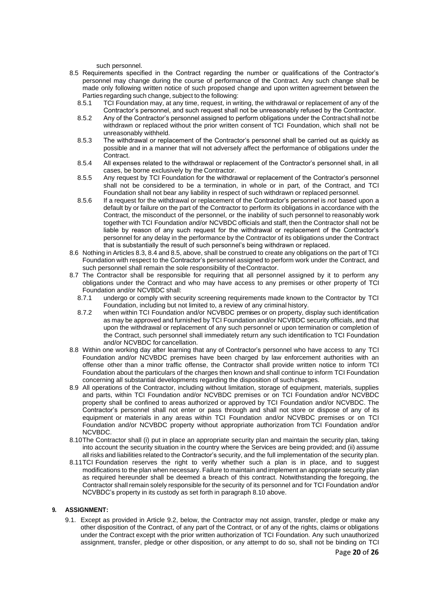such personnel.

- 8.5 Requirements specified in the Contract regarding the number or qualifications of the Contractor's personnel may change during the course of performance of the Contract. Any such change shall be made only following written notice of such proposed change and upon written agreement between the Parties regarding such change, subject to the following:
	- 8.5.1 TCI Foundation may, at any time, request, in writing, the withdrawal or replacement of any of the Contractor's personnel, and such request shall not be unreasonably refused by the Contractor.
	- 8.5.2 Any of the Contractor's personnel assigned to perform obligations under the Contract shall not be withdrawn or replaced without the prior written consent of TCI Foundation, which shall not be unreasonably withheld.
	- 8.5.3 The withdrawal or replacement of the Contractor's personnel shall be carried out as quickly as possible and in a manner that will not adversely affect the performance of obligations under the Contract.
	- 8.5.4 All expenses related to the withdrawal or replacement of the Contractor's personnel shall, in all cases, be borne exclusively by the Contractor.
	- 8.5.5 Any request by TCI Foundation for the withdrawal or replacement of the Contractor's personnel shall not be considered to be a termination, in whole or in part, of the Contract, and TCI Foundation shall not bear any liability in respect of such withdrawn or replaced personnel.
	- 8.5.6 If a request for the withdrawal or replacement of the Contractor's personnel is *not* based upon a default by or failure on the part of the Contractor to perform its obligations in accordance with the Contract, the misconduct of the personnel, or the inability of such personnel to reasonably work together with TCI Foundation and/or NCVBDC officials and staff, then the Contractor shall not be liable by reason of any such request for the withdrawal or replacement of the Contractor's personnel for any delay in the performance by the Contractor of its obligations under the Contract that is substantially the result of such personnel's being withdrawn or replaced.
- 8.6 Nothing in Articles 8.3, 8.4 and 8.5, above, shall be construed to create any obligations on the part of TCI Foundation with respect to the Contractor's personnel assigned to perform work under the Contract, and such personnel shall remain the sole responsibility of theContractor.
- 8.7 The Contractor shall be responsible for requiring that all personnel assigned by it to perform any obligations under the Contract and who may have access to any premises or other property of TCI Foundation and/or NCVBDC shall:
	- 8.7.1 undergo or comply with security screening requirements made known to the Contractor by TCI Foundation, including but not limited to, a review of any criminal history.
	- 8.7.2 when within TCI Foundation and/or NCVBDC premises or on property, display such identification as may be approved and furnished by TCI Foundation and/or NCVBDC security officials, and that upon the withdrawal or replacement of any such personnel or upon termination or completion of the Contract, such personnel shall immediately return any such identification to TCI Foundation and/or NCVBDC for cancellation.
- 8.8 Within one working day after learning that any of Contractor's personnel who have access to any TCI Foundation and/or NCVBDC premises have been charged by law enforcement authorities with an offense other than a minor traffic offense, the Contractor shall provide written notice to inform TCI Foundation about the particulars of the charges then known and shall continue to inform TCI Foundation concerning all substantial developments regarding the disposition of such charges.
- 8.9 All operations of the Contractor, including without limitation, storage of equipment, materials, supplies and parts, within TCI Foundation and/or NCVBDC premises or on TCI Foundation and/or NCVBDC property shall be confined to areas authorized or approved by TCI Foundation and/or NCVBDC. The Contractor's personnel shall not enter or pass through and shall not store or dispose of any of its equipment or materials in any areas within TCI Foundation and/or NCVBDC premises or on TCI Foundation and/or NCVBDC property without appropriate authorization from TCI Foundation and/or NCVBDC.
- 8.10The Contractor shall (i) put in place an appropriate security plan and maintain the security plan, taking into account the security situation in the country where the Services are being provided; and (ii) assume all risks and liabilities related to the Contractor's security, and the full implementation of the security plan.
- 8.11TCI Foundation reserves the right to verify whether such a plan is in place, and to suggest modifications to the plan when necessary. Failure to maintain and implement an appropriate security plan as required hereunder shall be deemed a breach of this contract. Notwithstanding the foregoing, the Contractor shall remain solely responsible for the security of its personnel and for TCI Foundation and/or NCVBDC's property in its custody as set forth in paragraph 8.10 above.

### **9. ASSIGNMENT:**

9.1. Except as provided in Article 9.2, below, the Contractor may not assign, transfer, pledge or make any other disposition of the Contract, of any part of the Contract, or of any of the rights, claims or obligations under the Contract except with the prior written authorization of TCI Foundation. Any such unauthorized assignment, transfer, pledge or other disposition, or any attempt to do so, shall not be binding on TCI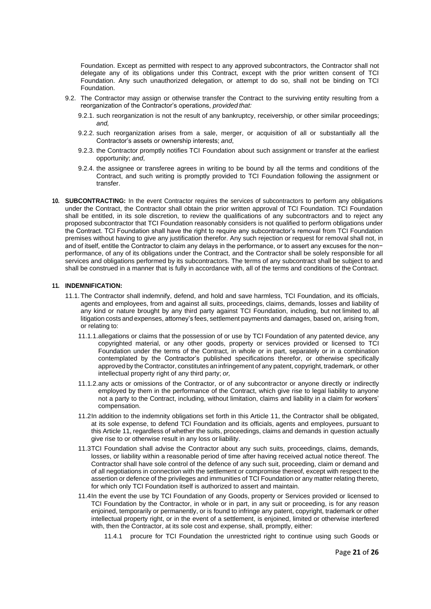Foundation. Except as permitted with respect to any approved subcontractors, the Contractor shall not delegate any of its obligations under this Contract, except with the prior written consent of TCI Foundation. Any such unauthorized delegation, or attempt to do so, shall not be binding on TCI Foundation.

- 9.2. The Contractor may assign or otherwise transfer the Contract to the surviving entity resulting from a reorganization of the Contractor's operations, *provided that:*
	- 9.2.1. such reorganization is not the result of any bankruptcy, receivership, or other similar proceedings; *and,*
	- 9.2.2. such reorganization arises from a sale, merger, or acquisition of all or substantially all the Contractor's assets or ownership interests; *and*,
	- 9.2.3. the Contractor promptly notifies TCI Foundation about such assignment or transfer at the earliest opportunity; *and*,
	- 9.2.4. the assignee or transferee agrees in writing to be bound by all the terms and conditions of the Contract, and such writing is promptly provided to TCI Foundation following the assignment or transfer.
- **10. SUBCONTRACTING:** In the event Contractor requires the services of subcontractors to perform any obligations under the Contract, the Contractor shall obtain the prior written approval of TCI Foundation. TCI Foundation shall be entitled, in its sole discretion, to review the qualifications of any subcontractors and to reject any proposed subcontractor that TCI Foundation reasonably considers is not qualified to perform obligations under the Contract. TCI Foundation shall have the right to require any subcontractor's removal from TCI Foundation premises without having to give any justification therefor. Any such rejection or request for removal shall not, in and of itself, entitle the Contractor to claim any delays in the performance, or to assert any excuses for the non− performance, of any of its obligations under the Contract, and the Contractor shall be solely responsible for all services and obligations performed by its subcontractors. The terms of any subcontract shall be subject to and shall be construed in a manner that is fully in accordance with, all of the terms and conditions of the Contract.

#### **11. INDEMNIFICATION:**

- 11.1. The Contractor shall indemnify, defend, and hold and save harmless, TCI Foundation, and its officials, agents and employees, from and against all suits, proceedings, claims, demands, losses and liability of any kind or nature brought by any third party against TCI Foundation, including, but not limited to, all litigation costs and expenses, attorney's fees, settlement payments and damages, based on, arising from, or relating to:
	- 11.1.1.allegations or claims that the possession of or use by TCI Foundation of any patented device, any copyrighted material, or any other goods, property or services provided or licensed to TCI Foundation under the terms of the Contract, in whole or in part, separately or in a combination contemplated by the Contractor's published specifications therefor, or otherwise specifically approved by the Contractor, constitutes an infringement of any patent, copyright, trademark, or other intellectual property right of any third party; *or,*
	- 11.1.2.any acts or omissions of the Contractor, or of any subcontractor or anyone directly or indirectly employed by them in the performance of the Contract, which give rise to legal liability to anyone not a party to the Contract, including, without limitation, claims and liability in a claim for workers' compensation.
	- 11.2In addition to the indemnity obligations set forth in this Article 11, the Contractor shall be obligated, at its sole expense, to defend TCI Foundation and its officials, agents and employees, pursuant to this Article 11, regardless of whether the suits, proceedings, claims and demands in question actually give rise to or otherwise result in any loss or liability.
	- 11.3TCI Foundation shall advise the Contractor about any such suits, proceedings, claims, demands, losses, or liability within a reasonable period of time after having received actual notice thereof. The Contractor shall have sole control of the defence of any such suit, proceeding, claim or demand and of all negotiations in connection with the settlement or compromise thereof, except with respect to the assertion or defence of the privileges and immunities of TCI Foundation or any matter relating thereto, for which only TCI Foundation itself is authorized to assert and maintain.
	- 11.4In the event the use by TCI Foundation of any Goods, property or Services provided or licensed to TCI Foundation by the Contractor, in whole or in part, in any suit or proceeding, is for any reason enjoined, temporarily or permanently, or is found to infringe any patent, copyright, trademark or other intellectual property right, or in the event of a settlement, is enjoined, limited or otherwise interfered with, then the Contractor, at its sole cost and expense, shall, promptly, either:
		- 11.4.1 procure for TCI Foundation the unrestricted right to continue using such Goods or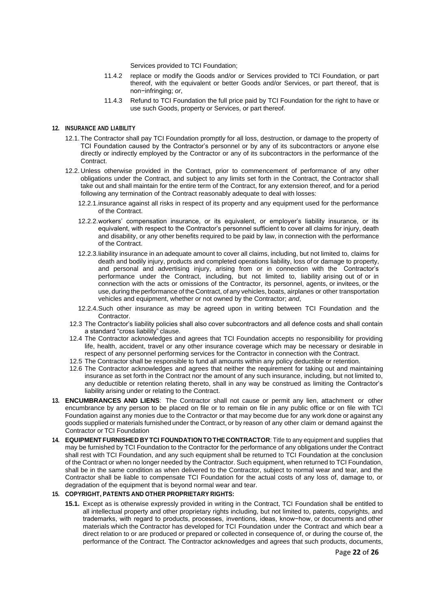Services provided to TCI Foundation;

- 11.4.2 replace or modify the Goods and/or or Services provided to TCI Foundation, or part thereof, with the equivalent or better Goods and/or Services, or part thereof, that is non−infringing; *or*,
- 11.4.3 Refund to TCI Foundation the full price paid by TCI Foundation for the right to have or use such Goods, property or Services, or part thereof.

### **12. INSURANCE AND LIABILITY**

- 12.1. The Contractor shall pay TCI Foundation promptly for all loss, destruction, or damage to the property of TCI Foundation caused by the Contractor's personnel or by any of its subcontractors or anyone else directly or indirectly employed by the Contractor or any of its subcontractors in the performance of the **Contract.**
- 12.2. Unless otherwise provided in the Contract, prior to commencement of performance of any other obligations under the Contract, and subject to any limits set forth in the Contract, the Contractor shall take out and shall maintain for the entire term of the Contract, for any extension thereof, and for a period following any termination of the Contract reasonably adequate to deal with losses:
	- 12.2.1.insurance against all risks in respect of its property and any equipment used for the performance of the Contract.
	- 12.2.2.workers' compensation insurance, or its equivalent, or employer's liability insurance, or its equivalent, with respect to the Contractor's personnel sufficient to cover all claims for injury, death and disability, or any other benefits required to be paid by law, in connection with the performance of the Contract.
	- 12.2.3.liability insurance in an adequate amount to cover all claims, including, but not limited to, claims for death and bodily injury, products and completed operations liability, loss ofor damage to property, and personal and advertising injury, arising from or in connection with the Contractor's performance under the Contract, including, but not limited to, liability arising out of or in connection with the acts or omissions of the Contractor, its personnel, agents, or invitees, or the use, during the performance of the Contract, of any vehicles, boats, airplanes or other transportation vehicles and equipment, whether or not owned by the Contractor; *and*,
	- 12.2.4.Such other insurance as may be agreed upon in writing between TCI Foundation and the Contractor.
	- 12.3 The Contractor's liability policies shall also cover subcontractors and all defence costs and shall contain a standard "cross liability" clause.
	- 12.4 The Contractor acknowledges and agrees that TCI Foundation accepts no responsibility for providing life, health, accident, travel or any other insurance coverage which may be necessary or desirable in respect of any personnel performing services for the Contractor in connection with the Contract.
	- 12.5 The Contractor shall be responsible to fund all amounts within any policy deductible or retention.
	- 12.6 The Contractor acknowledges and agrees that neither the requirement for taking out and maintaining insurance as set forth in the Contract nor the amount of any such insurance, including, but not limited to, any deductible or retention relating thereto, shall in any way be construed as limiting the Contractor's liability arising under or relating to the Contract.
- **13. ENCUMBRANCES AND LIENS**: The Contractor shall not cause or permit any lien, attachment or other encumbrance by any person to be placed on file or to remain on file in any public office or on file with TCI Foundation against any monies due to the Contractor or that may become due for any work done or against any goods supplied or materials furnished under the Contract, or by reason of any other claim or demand against the Contractor or TCI Foundation
- **14. EQUIPMENT FURNISHED BYTCI FOUNDATION TOTHE CONTRACTOR**: Title to any equipment and supplies that may be furnished by TCI Foundation to the Contractor for the performance of any obligations under the Contract shall rest with TCI Foundation, and any such equipment shall be returned to TCI Foundation at the conclusion of the Contract or when no longer needed by the Contractor. Such equipment, when returned to TCI Foundation, shall be in the same condition as when delivered to the Contractor, subject to normal wear and tear, and the Contractor shall be liable to compensate TCI Foundation for the actual costs of any loss of, damage to, or degradation of the equipment that is beyond normal wear and tear.

### **15. COPYRIGHT, PATENTS AND OTHER PROPRIETARY RIGHTS:**

**15.1.** Except as is otherwise expressly provided in writing in the Contract, TCI Foundation shall be entitled to all intellectual property and other proprietary rights including, but not limited to, patents, copyrights, and trademarks, with regard to products, processes, inventions, ideas, know−how, or documents and other materials which the Contractor has developed for TCI Foundation under the Contract and which bear a direct relation to or are produced or prepared or collected in consequence of, or during the course of, the performance of the Contract. The Contractor acknowledges and agrees that such products, documents,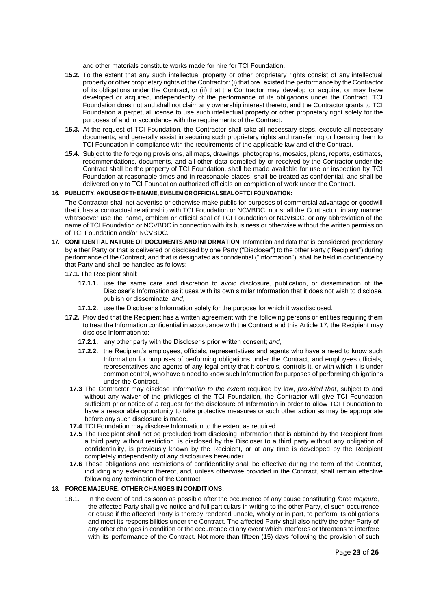and other materials constitute works made for hire for TCI Foundation.

- **15.2.** To the extent that any such intellectual property or other proprietary rights consist of any intellectual property or other proprietary rights of the Contractor: (i) that pre−existed the performance by the Contractor of its obligations under the Contract, or (ii) that the Contractor may develop or acquire, or may have developed or acquired, independently of the performance of its obligations under the Contract, TCI Foundation does not and shall not claim any ownership interest thereto, and the Contractor grants to TCI Foundation a perpetual license to use such intellectual property or other proprietary right solely for the purposes of and in accordance with the requirements of the Contract.
- **15.3.** At the request of TCI Foundation, the Contractor shall take all necessary steps, execute all necessary documents, and generally assist in securing such proprietary rights and transferring or licensing them to TCI Foundation in compliance with the requirements of the applicable law and of the Contract.
- **15.4.** Subject to the foregoing provisions, all maps, drawings, photographs, mosaics, plans, reports, estimates, recommendations, documents, and all other data compiled by or received by the Contractor under the Contract shall be the property of TCI Foundation, shall be made available for use or inspection by TCI Foundation at reasonable times and in reasonable places, shall be treated as confidential, and shall be delivered only to TCI Foundation authorized officials on completion of work under the Contract.

### **16. PUBLICITY, ANDUSE OFTHE NAME,EMBLEM OROFFICIALSEALOFTCI FOUNDATION:**

The Contractor shall not advertise or otherwise make public for purposes of commercial advantage or goodwill that it has a contractual relationship with TCI Foundation or NCVBDC, nor shall the Contractor, in any manner whatsoever use the name, emblem or official seal of TCI Foundation or NCVBDC, or any abbreviation of the name of TCI Foundation or NCVBDC in connection with its business or otherwise without the written permission of TCI Foundation and/or NCVBDC.

- **17. CONFIDENTIAL NATURE OF DOCUMENTS AND INFORMATION**: Information and data that is considered proprietary by either Party or that is delivered or disclosed by one Party ("Discloser") to the other Party ("Recipient") during performance of the Contract, and that is designated as confidential ("Information"), shall be held in confidence by that Party and shall be handled as follows:
	- **17.1.** The Recipient shall:
		- **17.1.1.** use the same care and discretion to avoid disclosure, publication, or dissemination of the Discloser's Information as it uses with its own similar Information that it does not wish to disclose, publish or disseminate; *and*,
		- **17.1.2.** use the Discloser's Information solely for the purpose for which it was disclosed.
	- **17.2.** Provided that the Recipient has a written agreement with the following persons or entities requiring them to treat the Information confidential in accordance with the Contract and this Article 17, the Recipient may disclose Information to:
		- **17.2.1.** any other party with the Discloser's prior written consent; *and*,
		- **17.2.2.** the Recipient's employees, officials, representatives and agents who have a need to know such Information for purposes of performing obligations under the Contract, and employees officials, representatives and agents of any legal entity that it controls, controls it, or with which it is under common control, who have a need to know such Information for purposes of performing obligations under the Contract.
		- **17.3** The Contractor may disclose Informat*ion to the ext*ent required by law, *provided that*, subject to and without any waiver of the privileges of the TCI Foundation, the Contractor will give TCI Foundation sufficient prior notice of *a* request for the disclosure of Information in order to allow TCI Foundation to have a reasonable opportunity to take protective measures or such other action as may be appropriate before any such disclosure is made.
		- **17.4** TCI Foundation may disclose Information to the extent as required.
		- **17.5** The Recipient shall not be precluded from disclosing Information that is obtained by the Recipient from a third party without restriction, is disclosed by the Discloser to a third party without any obligation of confidentiality, is previously known by the Recipient, or at any time is developed by the Recipient completely independently of any disclosures hereunder.
		- **17.6** These obligations and restrictions of confidentiality shall be effective during the term of the Contract, including any extension thereof, and, unless otherwise provided in the Contract, shall remain effective following any termination of the Contract.

#### **18. FORCE MAJEURE; OTHER CHANGES IN CONDITIONS:**

18.1. In the event of and as soon as possible after the occurrence of any cause constituting *force majeure*, the affected Party shall give notice and full particulars in writing to the other Party, of such occurrence or cause if the affected Party is thereby rendered unable, wholly or in part, to perform its obligations and meet its responsibilities under the Contract. The affected Party shall also notify the other Party of any other changes in condition or the occurrence of any event which interferes or threatens to interfere with its performance of the Contract. Not more than fifteen (15) days following the provision of such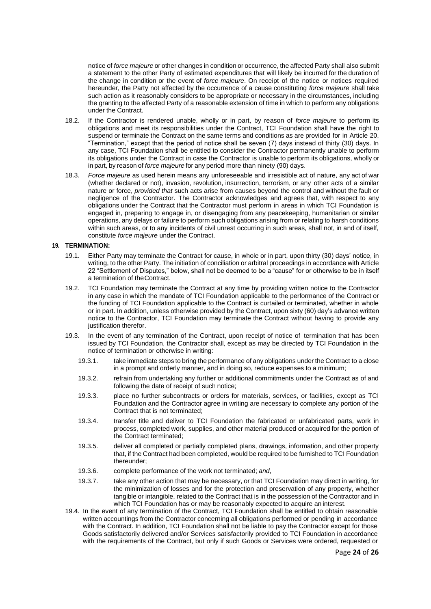notice of *force majeure* or other changes in condition or occurrence, the affected Party shall also submit a statement to the other Party of estimated expenditures that will likely be incurred for the duration of the change in condition or the event of *force majeure*. On receipt of the notice or notices required hereunder, the Party not affected by the occurrence of a cause constituting *force majeure* shall take such action as it reasonably considers to be appropriate or necessary in the circumstances, including the granting to the affected Party of a reasonable extension of time in which to perform any obligations under the Contract.

- 18.2. If the Contractor is rendered unable, wholly or in part, by reason of *force majeure* to perform its obligations and meet its responsibilities under the Contract, TCI Foundation shall have the right to suspend or terminate the Contract on the same terms and conditions as are provided for in Article 20, "Termination," except that the period of notice shall be seven (7) days instead of thirty (30) days. In any case, TCI Foundation shall be entitled to consider the Contractor permanently unable to perform its obligations under the Contract in case the Contractor is unable to perform its obligations, wholly or in part, by reason of *force majeure* for any period more than ninety (90) days.
- 18.3. *Force majeure* as used herein means any unforeseeable and irresistible act of nature, any act of war (whether declared or not), invasion, revolution, insurrection, terrorism, or any other acts of a similar nature or force, *provided that* such acts arise from causes beyond the control and without the fault or negligence of the Contractor. The Contractor acknowledges and agrees that, with respect to any obligations under the Contract that the Contractor must perform in areas in which TCI Foundation is engaged in, preparing to engage in, or disengaging from any peacekeeping, humanitarian or similar operations, any delays or failure to perform such obligations arising from or relating to harsh conditions within such areas, or to any incidents of civil unrest occurring in such areas, shall not, in and of itself, constitute *force majeure* under the Contract.

### **19. TERMINATION:**

- 19.1. Either Party may terminate the Contract for cause, in whole or in part, upon thirty (30) days' notice, in writing, to the other Party. The initiation of conciliation or arbitral proceedings in accordance with Article 22 "Settlement of Disputes," below, shall not be deemed to be a "cause" for or otherwise to be in itself a termination of theContract.
- 19.2. TCI Foundation may terminate the Contract at any time by providing written notice to the Contractor in any case in which the mandate of TCI Foundation applicable to the performance of the Contract or the funding of TCI Foundation applicable to the Contract is curtailed or terminated, whether in whole or in part. In addition, unless otherwise provided by the Contract, upon sixty (60) day's advance written notice to the Contractor, TCI Foundation may terminate the Contract without having to provide any justification therefor.
- 19.3. In the event of any termination of the Contract, upon receipt of notice of termination that has been issued by TCI Foundation, the Contractor shall, except as may be directed by TCI Foundation in the notice of termination or otherwise in writing:
	- 19.3.1. take immediate steps to bring the performance of any obligations under the Contract to a close in a prompt and orderly manner, and in doing so, reduce expenses to a minimum;
	- 19.3.2. refrain from undertaking any further or additional commitments under the Contract as of and following the date of receipt of such notice;
	- 19.3.3. place no further subcontracts or orders for materials, services, or facilities, except as TCI Foundation and the Contractor agree in writing are necessary to complete any portion of the Contract that is not terminated;
	- 19.3.4. transfer title and deliver to TCI Foundation the fabricated or unfabricated parts, work in process, completed work, supplies, and other material produced or acquired for the portion of the Contract terminated;
	- 19.3.5. deliver all completed or partially completed plans, drawings, information, and other property that, if the Contract had been completed, would be required to be furnished to TCI Foundation thereunder;
	- 19.3.6. complete performance of the work not terminated; *and*,
	- 19.3.7. take any other action that may be necessary, or that TCI Foundation may direct in writing, for the minimization of losses and for the protection and preservation of any property, whether tangible or intangible, related to the Contract that is in the possession of the Contractor and in which TCI Foundation has or may be reasonably expected to acquire an interest.
- 19.4. In the event of any termination of the Contract, TCI Foundation shall be entitled to obtain reasonable written accountings from the Contractor concerning all obligations performed or pending in accordance with the Contract. In addition, TCI Foundation shall not be liable to pay the Contractor except for those Goods satisfactorily delivered and/or Services satisfactorily provided to TCI Foundation in accordance with the requirements of the Contract, but only if such Goods or Services were ordered, requested or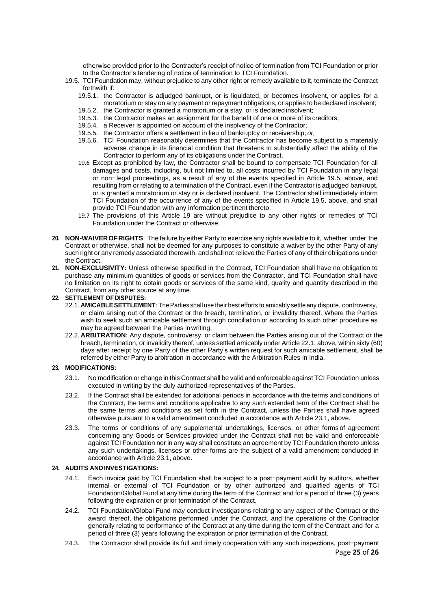otherwise provided prior to the Contractor's receipt of notice of termination from TCI Foundation or prior to the Contractor's tendering of notice of termination to TCI Foundation.

- 19.5. TCI Foundation may, without prejudice to any other right or remedy available to it, terminate the Contract forthwith if:
	- 19.5.1. the Contractor is adjudged bankrupt, or is liquidated, or becomes insolvent, or applies for a moratorium or stay on any payment or repayment obligations, or applies to be declared insolvent;
	- 19.5.2. the Contractor is granted a moratorium or a stay, or is declared insolvent;
	- 19.5.3. the Contractor makes an assignment for the benefit of one or more of its creditors;
	- 19.5.4. a Receiver is appointed on account of the insolvency of the Contractor;
	- 19.5.5. the Contractor offers a settlement in lieu of bankruptcy or receivership; *or,*
	- 19.5.6. TCI Foundation reasonably determines that the Contractor has become subject to a materially adverse change in its financial condition that threatens to substantially affect the ability of the Contractor to perform any of its obligations under the Contract.
	- 19.6 Except as prohibited by law, the Contractor shall be bound to compensate TCI Foundation for all damages and costs, including, but not limited to, all costs incurred by TCI Foundation in any legal or non−legal proceedings, as a result of any of the events specified in Article 19.5, above, and resulting from or relating to a termination of the Contract, even if the Contractor is adjudged bankrupt, or is granted a moratorium or stay or is declared insolvent. The Contractor shall immediately inform TCI Foundation of the occurrence of any of the events specified in Article 19.5, above, and shall provide TCI Foundation with any information pertinent thereto.
	- 19.7 The provisions of this Article 19 are without prejudice to any other rights or remedies of TCI Foundation under the Contract or otherwise.
- **20. NON-WAIVEROFRIGHTS**: The failure by either Party to exercise any rights available to it, whether under the Contract or otherwise, shall not be deemed for any purposes to constitute a waiver by the other Party of any such right or any remedy associated therewith, and shall not relieve the Parties of any of their obligations under the Contract.
- **21. NON-EXCLUSIVITY:** Unless otherwise specified in the Contract, TCI Foundation shall have no obligation to purchase any minimum quantities of goods or services from the Contractor, and TCI Foundation shall have no limitation on its right to obtain goods or services of the same kind, quality and quantity described in the Contract, from any other source at any time.

### **22. SETTLEMENT OF DISPUTES:**

- 22.1. **AMICABLESETTLEMENT**: TheParties shall use their best efforts to amicably settle any dispute, controversy, or claim arising out of the Contract or the breach, termination, or invalidity thereof. Where the Parties wish to seek such an amicable settlement through conciliation or according to such other procedure as may be agreed between the Parties inwriting.
- 22.2. **ARBITRATION**: Any dispute, controversy, or claim between the Parties arising out of the Contract or the breach, termination, or invalidity thereof, unless settled amicably under Article 22.1, above, within sixty (60) days after receipt by one Party of the other Party's written request for such amicable settlement, shall be referred by either Party to arbitration in accordance with the Arbitration Rules in India.

### **23. MODIFICATIONS:**

- 23.1. No modification or change in this Contract shall be valid and enforceable against TCI Foundation unless executed in writing by the duly authorized representatives of the Parties.
- 23.2. If the Contract shall be extended for additional periods in accordance with the terms and conditions of the Contract, the terms and conditions applicable to any such extended term of the Contract shall be the same terms and conditions as set forth in the Contract, unless the Parties shall have agreed otherwise pursuant to a valid amendment concluded in accordance with Article 23.1, above.
- 23.3. The terms or conditions of any supplemental undertakings, licenses, or other forms of agreement concerning any Goods or Services provided under the Contract shall not be valid and enforceable against TCI Foundation nor in any way shall constitute an agreement by TCI Foundation thereto unless any such undertakings, licenses or other forms are the subject of a valid amendment concluded in accordance with Article 23.1, above.

### **24. AUDITS ANDINVESTIGATIONS:**

- 24.1. Each invoice paid by TCI Foundation shall be subject to a post−payment audit by auditors, whether internal or external of TCI Foundation or by other authorized and qualified agents of TCI Foundation/Global Fund at any time during the term of the Contract and for a period of three (3) years following the expiration or prior termination of the Contract.
- 24.2. TCI Foundation/Global Fund may conduct investigations relating to any aspect of the Contract or the award thereof, the obligations performed under the Contract, and the operations of the Contractor generally relating to performance of the Contract at any time during the term of the Contract and for a period of three (3) years following the expiration or prior termination of the Contract.
- Page **25** of **26** 24.3. The Contractor shall provide its full and timely cooperation with any such inspections, post−payment